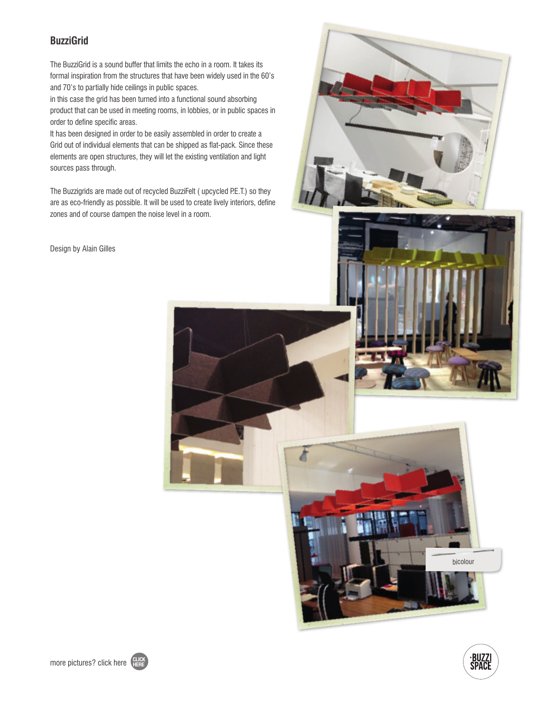### **BuzziGrid**

The BuzziGrid is a sound buffer that limits the echo in a room. It takes its formal inspiration from the structures that have been widely used in the 60's and 70's to partially hide ceilings in public spaces.

in this case the grid has been turned into a functional sound absorbing product that can be used in meeting rooms, in lobbies, or in public spaces in order to define specific areas.

It has been designed in order to be easily assembled in order to create a Grid out of individual elements that can be shipped as flat-pack. Since these elements are open structures, they will let the existing ventilation and light sources pass through.

The Buzzigrids are made out of recycled BuzziFelt ( upcycled P.E.T.) so they are as eco-friendly as possible. It will be used to create lively interiors, define zones and of course dampen the noise level in a room.

Design by Alain Gilles







bicolour



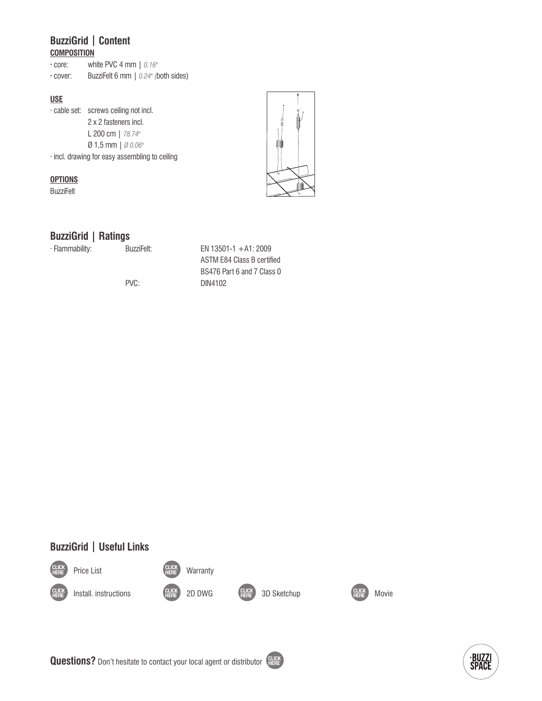# **BuzziGrid | Content**

| <b>COMPOSITION</b> |
|--------------------|
|--------------------|

**·** core: white PVC 4 mm | *0.16"*

**·** cover: BuzziFelt 6 mm | *0.24" (*both sides)

#### **USE**

· cable set: screws ceiling not incl. 2 x 2 fasteners incl. L 200 cm | *78.74"* Ø 1,5 mm | *Ø 0.06"* · incl. drawing for easy assembling to ceiling

#### **OPTIONS**

**BuzziFelt** 



### **BuzziGrid | Ratings**

· Flammability: BuzziFelt: EN 13501-1 +A1: 2009

 ASTM E84 Class B certified BS476 Part 6 and 7 Class 0 PVC: DIN4102



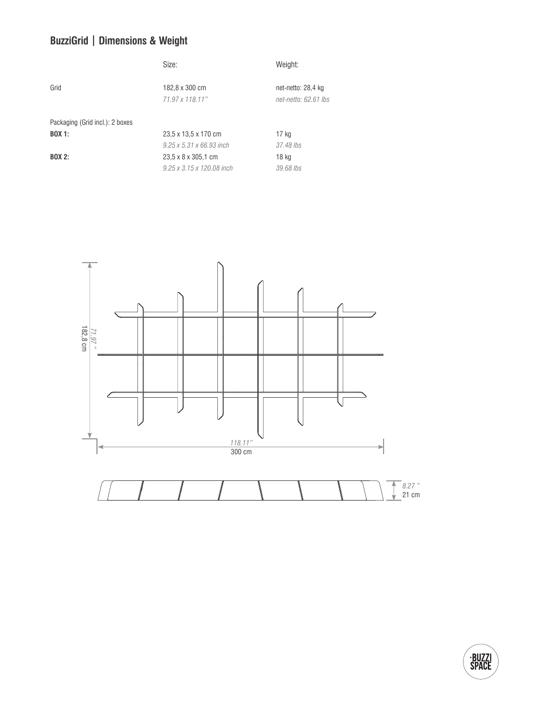# **BuzziGrid | Dimensions & Weight**

|                                 | Size:                                | Weight:                                    |
|---------------------------------|--------------------------------------|--------------------------------------------|
| Grid                            | 182,8 x 300 cm<br>71.97 x 118.11"    | net-netto: 28,4 kg<br>net-netto: 62.61 lbs |
| Packaging (Grid incl.): 2 boxes |                                      |                                            |
| <b>BOX 1:</b>                   | 23,5 x 13,5 x 170 cm                 | 17 kg                                      |
|                                 | $9.25 \times 5.31 \times 66.93$ inch | 37.48 lbs                                  |
| <b>BOX 2:</b>                   | 23,5 x 8 x 305,1 cm                  | 18 kg                                      |
|                                 | 9.25 x 3.15 x 120.08 inch            | 39.68 lbs                                  |